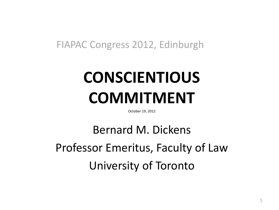#### FIAPAC Congress 2012, Edinburgh

## **CONSCIENTIOUS COMMITMENT**

October 19, 2012

Bernard M. Dickens Professor Emeritus, Faculty of Law University of Toronto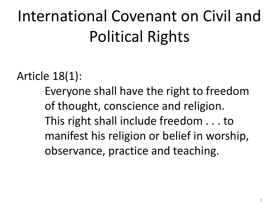# International Covenant on Civil and Political Rights

### Article 18(1):

Everyone shall have the right to freedom of thought, conscience and religion. This right shall include freedom . . . to manifest his religion or belief in worship, observance, practice and teaching.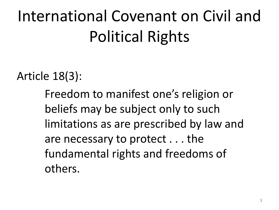# International Covenant on Civil and Political Rights

Article 18(3):

Freedom to manifest one's religion or beliefs may be subject only to such limitations as are prescribed by law and are necessary to protect . . . the fundamental rights and freedoms of others.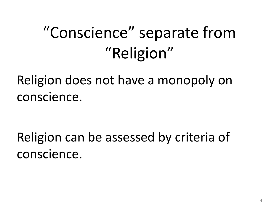## "Conscience" separate from "Religion"

Religion does not have a monopoly on conscience.

Religion can be assessed by criteria of conscience.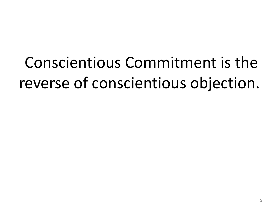Conscientious Commitment is the reverse of conscientious objection.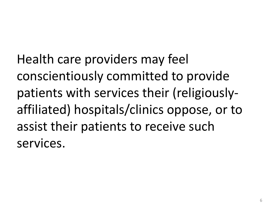Health care providers may feel conscientiously committed to provide patients with services their (religiouslyaffiliated) hospitals/clinics oppose, or to assist their patients to receive such services.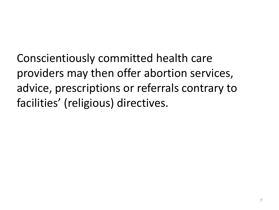Conscientiously committed health care providers may then offer abortion services, advice, prescriptions or referrals contrary to facilities' (religious) directives.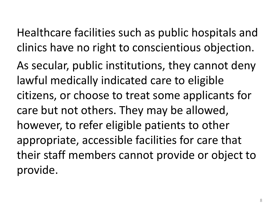Healthcare facilities such as public hospitals and clinics have no right to conscientious objection.

As secular, public institutions, they cannot deny lawful medically indicated care to eligible citizens, or choose to treat some applicants for care but not others. They may be allowed, however, to refer eligible patients to other appropriate, accessible facilities for care that their staff members cannot provide or object to provide.